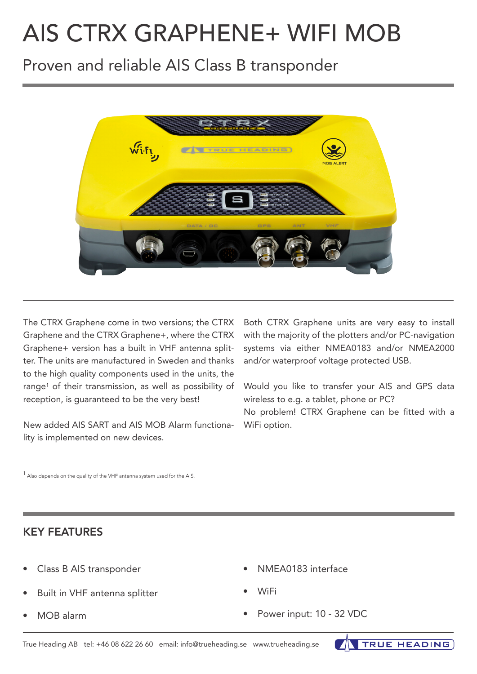# AIS CTRX GRAPHENE+ WIFI MOB

# Proven and reliable AIS Class B transponder



The CTRX Graphene come in two versions; the CTRX Graphene and the CTRX Graphene+, where the CTRX Graphene+ version has a built in VHF antenna splitter. The units are manufactured in Sweden and thanks to the high quality components used in the units, the range<sup>1</sup> of their transmission, as well as possibility of reception, is guaranteed to be the very best!

New added AIS SART and AIS MOB Alarm functionality is implemented on new devices.

Both CTRX Graphene units are very easy to install with the majority of the plotters and/or PC-navigation systems via either NMEA0183 and/or NMEA2000 and/or waterproof voltage protected USB.

Would you like to transfer your AIS and GPS data wireless to e.g. a tablet, phone or PC?

No problem! CTRX Graphene can be fitted with a WiFi option.

 $1$  Also depends on the quality of the VHF antenna system used for the AIS.

### KEY FEATURES

- Class B AIS transponder
- Built in VHF antenna splitter
- MOB alarm
- NMEA0183 interface
- WiFi
- Power input: 10 32 VDC